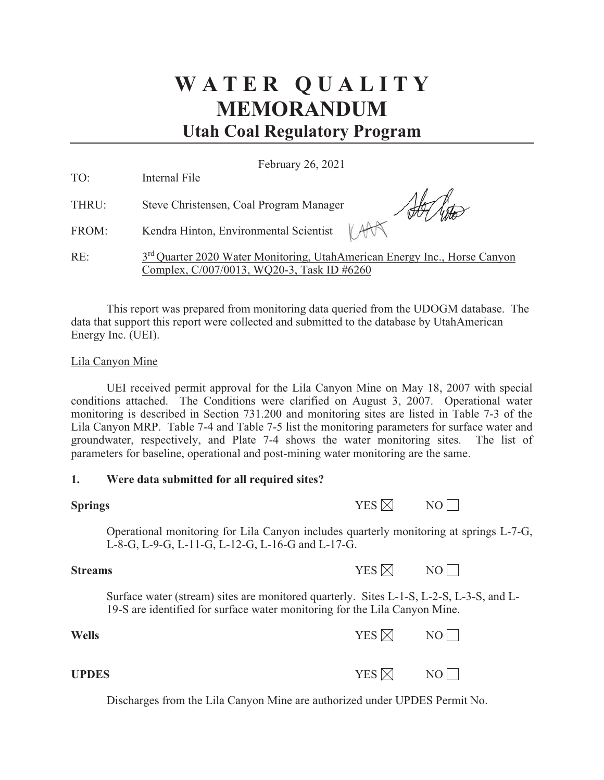# **W A T E R Q U A L I T Y MEMORANDUM Utah Coal Regulatory Program**

February 26, 2021

TO: Internal File

THRU: Steve Christensen, Coal Program Manager

FROM: Kendra Hinton, Environmental Scientist

Allito

RE: 3<sup>rd</sup> Quarter 2020 Water Monitoring, UtahAmerican Energy Inc., Horse Canyon Complex, C/007/0013, WQ20-3, Task ID #6260

This report was prepared from monitoring data queried from the UDOGM database. The data that support this report were collected and submitted to the database by UtahAmerican Energy Inc. (UEI).

### Lila Canyon Mine

UEI received permit approval for the Lila Canyon Mine on May 18, 2007 with special conditions attached. The Conditions were clarified on August 3, 2007. Operational water monitoring is described in Section 731.200 and monitoring sites are listed in Table 7-3 of the Lila Canyon MRP. Table 7-4 and Table 7-5 list the monitoring parameters for surface water and groundwater, respectively, and Plate 7-4 shows the water monitoring sites. The list of parameters for baseline, operational and post-mining water monitoring are the same.

### **1. Were data submitted for all required sites?**

| <b>Springs</b> | YES $\boxtimes$ | NO |
|----------------|-----------------|----|
|                |                 |    |

Operational monitoring for Lila Canyon includes quarterly monitoring at springs L-7-G, L-8-G, L-9-G, L-11-G, L-12-G, L-16-G and L-17-G.

**Streams** YES ⊠ NO

Surface water (stream) sites are monitored quarterly. Sites L-1-S, L-2-S, L-3-S, and L-19-S are identified for surface water monitoring for the Lila Canyon Mine.

| <b>Wells</b> | YES $\boxtimes$ | NO |
|--------------|-----------------|----|
| <b>UPDES</b> | YES $\boxtimes$ | NO |

Discharges from the Lila Canyon Mine are authorized under UPDES Permit No.